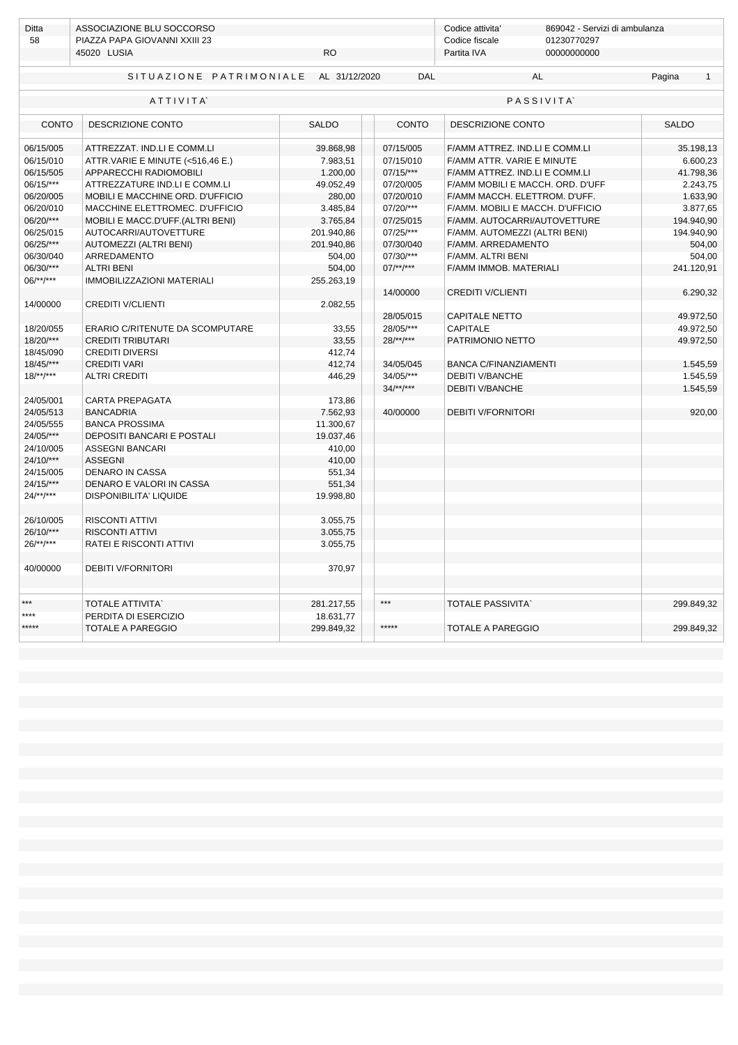| <b>Ditta</b>                 | ASSOCIAZIONE BLU SOCCORSO             |              |                   | Codice attivita'<br>869042 - Servizi di ambulanza |                                  |              |            |  |  |  |
|------------------------------|---------------------------------------|--------------|-------------------|---------------------------------------------------|----------------------------------|--------------|------------|--|--|--|
| 58                           | PIAZZA PAPA GIOVANNI XXIII 23         |              |                   | Codice fiscale<br>Partita IVA                     | 01230770297                      |              |            |  |  |  |
|                              | 45020 LUSIA                           | <b>RO</b>    |                   |                                                   | 00000000000                      |              |            |  |  |  |
|                              | SITUAZIONE PATRIMONIALE AL 31/12/2020 | <b>DAL</b>   |                   | <b>AL</b>                                         | Pagina                           | $\mathbf{1}$ |            |  |  |  |
| ATTIVITA<br><b>PASSIVITA</b> |                                       |              |                   |                                                   |                                  |              |            |  |  |  |
| <b>CONTO</b>                 | <b>DESCRIZIONE CONTO</b>              | <b>SALDO</b> | <b>CONTO</b>      | DESCRIZIONE CONTO                                 |                                  | <b>SALDO</b> |            |  |  |  |
| 06/15/005                    | ATTREZZAT. IND.LI E COMM.LI           | 39.868,98    | 07/15/005         | F/AMM ATTREZ. IND.LI E COMM.LI                    |                                  |              | 35.198,13  |  |  |  |
| 06/15/010                    | ATTR.VARIE E MINUTE (<516,46 E.)      | 7.983,51     | 07/15/010         | F/AMM ATTR. VARIE E MINUTE                        |                                  |              | 6.600,23   |  |  |  |
| 06/15/505                    | APPARECCHI RADIOMOBILI                | 1.200,00     | $07/15$ /***      | F/AMM ATTREZ. IND.LI E COMM.LI                    |                                  |              | 41.798,36  |  |  |  |
| $06/15$ /***                 | ATTREZZATURE IND.LI E COMM.LI         | 49.052,49    | 07/20/005         |                                                   | F/AMM MOBILI E MACCH. ORD. D'UFF |              | 2.243,75   |  |  |  |
| 06/20/005                    | MOBILI E MACCHINE ORD. D'UFFICIO      | 280,00       | 07/20/010         | F/AMM MACCH. ELETTROM. D'UFF.                     |                                  |              | 1.633,90   |  |  |  |
| 06/20/010                    | MACCHINE ELETTROMEC. D'UFFICIO        | 3.485,84     | 07/20/***         | F/AMM. MOBILI E MACCH. D'UFFICIO                  |                                  |              | 3.877,65   |  |  |  |
| 06/20/***                    | MOBILI E MACC.D'UFF.(ALTRI BENI)      | 3.765,84     | 07/25/015         |                                                   | F/AMM. AUTOCARRI/AUTOVETTURE     |              | 194.940,90 |  |  |  |
| 06/25/015                    | AUTOCARRI/AUTOVETTURE                 | 201.940,86   | 07/25/***         | F/AMM. AUTOMEZZI (ALTRI BENI)                     |                                  |              | 194.940,90 |  |  |  |
| 06/25/***                    | AUTOMEZZI (ALTRI BENI)                | 201.940,86   | 07/30/040         | F/AMM. ARREDAMENTO                                |                                  |              | 504,00     |  |  |  |
| 06/30/040                    | ARREDAMENTO                           | 504,00       | 07/30/***         | F/AMM. ALTRI BENI                                 |                                  |              | 504,00     |  |  |  |
| 06/30/***                    | <b>ALTRI BENI</b>                     | 504,00       | $07$ /**/***      | F/AMM IMMOB. MATERIALI                            |                                  |              | 241.120,91 |  |  |  |
| $06$ /**/***                 | <b>IMMOBILIZZAZIONI MATERIALI</b>     | 255.263,19   |                   |                                                   |                                  |              |            |  |  |  |
|                              |                                       |              | 14/00000          | <b>CREDITI V/CLIENTI</b>                          |                                  |              | 6.290,32   |  |  |  |
| 14/00000                     | <b>CREDITI V/CLIENTI</b>              | 2.082,55     |                   |                                                   |                                  |              |            |  |  |  |
|                              |                                       |              | 28/05/015         | <b>CAPITALE NETTO</b>                             |                                  |              | 49.972,50  |  |  |  |
| 18/20/055                    | ERARIO C/RITENUTE DA SCOMPUTARE       | 33.55        | 28/05/***         | CAPITALE                                          |                                  |              | 49.972.50  |  |  |  |
| $18/20$ /***                 | <b>CREDITI TRIBUTARI</b>              | 33,55        | $28^{**}$ /**/*** | PATRIMONIO NETTO                                  |                                  |              | 49.972,50  |  |  |  |
| 18/45/090                    | <b>CREDITI DIVERSI</b>                | 412,74       |                   |                                                   |                                  |              |            |  |  |  |
| 18/45/***                    | <b>CREDITI VARI</b>                   | 412,74       | 34/05/045         | <b>BANCA C/FINANZIAMENTI</b>                      |                                  |              | 1.545,59   |  |  |  |
| $18$ /**/***                 | <b>ALTRI CREDITI</b>                  | 446,29       | 34/05/***         | <b>DEBITI V/BANCHE</b>                            |                                  |              | 1.545,59   |  |  |  |
|                              |                                       |              | $34/**/***$       | <b>DEBITI V/BANCHE</b>                            |                                  |              | 1.545,59   |  |  |  |
| 24/05/001                    | <b>CARTA PREPAGATA</b>                | 173,86       |                   |                                                   |                                  |              |            |  |  |  |
| 24/05/513                    | <b>BANCADRIA</b>                      | 7.562,93     | 40/00000          | <b>DEBITI V/FORNITORI</b>                         |                                  |              | 920,00     |  |  |  |
| 24/05/555                    | <b>BANCA PROSSIMA</b>                 | 11.300,67    |                   |                                                   |                                  |              |            |  |  |  |
| 24/05/***                    | <b>DEPOSITI BANCARI E POSTALI</b>     | 19.037,46    |                   |                                                   |                                  |              |            |  |  |  |
| 24/10/005                    | <b>ASSEGNI BANCARI</b>                | 410,00       |                   |                                                   |                                  |              |            |  |  |  |
| $24/10$ /***                 | <b>ASSEGNI</b>                        | 410,00       |                   |                                                   |                                  |              |            |  |  |  |
| 24/15/005                    | <b>DENARO IN CASSA</b>                | 551,34       |                   |                                                   |                                  |              |            |  |  |  |
| $24/15$ /***                 | DENARO E VALORI IN CASSA              | 551,34       |                   |                                                   |                                  |              |            |  |  |  |
| $24$ /**/***                 | DISPONIBILITA' LIQUIDE                | 19.998,80    |                   |                                                   |                                  |              |            |  |  |  |
|                              |                                       |              |                   |                                                   |                                  |              |            |  |  |  |
| 26/10/005                    | <b>RISCONTI ATTIVI</b>                | 3.055,75     |                   |                                                   |                                  |              |            |  |  |  |
| 26/10/***                    | <b>RISCONTI ATTIVI</b>                | 3.055,75     |                   |                                                   |                                  |              |            |  |  |  |
| $26$ /**/***                 | RATEI E RISCONTI ATTIVI               | 3.055,75     |                   |                                                   |                                  |              |            |  |  |  |
|                              |                                       |              |                   |                                                   |                                  |              |            |  |  |  |
| 40/00000                     | <b>DEBITI V/FORNITORI</b>             | 370,97       |                   |                                                   |                                  |              |            |  |  |  |
|                              |                                       |              |                   |                                                   |                                  |              |            |  |  |  |
|                              |                                       |              |                   |                                                   |                                  |              |            |  |  |  |
| $+ + +$                      | <b>TOTALE ATTIVITA'</b>               | 281.217,55   | $***$             | <b>TOTALE PASSIVITA'</b>                          |                                  |              | 299.849,32 |  |  |  |
| ****                         | PERDITA DI ESERCIZIO                  | 18.631,77    |                   |                                                   |                                  |              |            |  |  |  |
| *****                        | <b>TOTALE A PAREGGIO</b>              | 299.849,32   | *****             | <b>TOTALE A PAREGGIO</b>                          |                                  |              | 299.849,32 |  |  |  |
|                              |                                       |              |                   |                                                   |                                  |              |            |  |  |  |